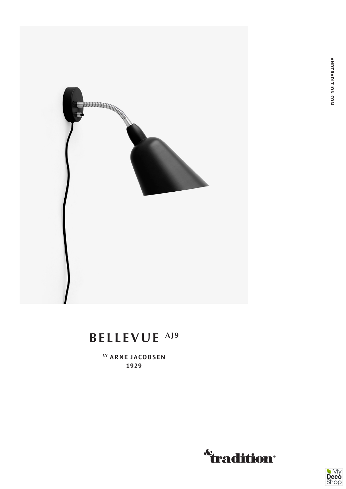

## BELLEVUE<sup>AJ9</sup>

BY ARNE JACOBSEN 1929



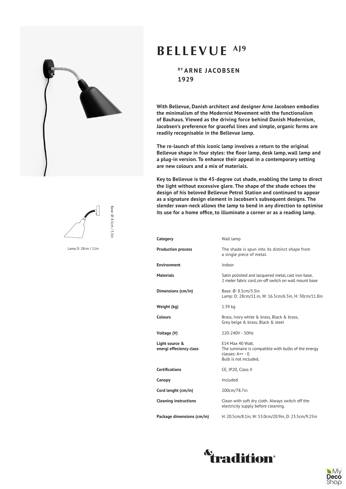



Base: Ø: 8.5cm / 3.3i Base: Ø: 8.5cm / 3.3in

Lamp D: 28cm / 11in

## **BELLEVUE AJ9**

**BY ARNE JACOBSEN 1929**

**With Bellevue, Danish architect and designer Arne Jacobsen embodies the minimalism of the Modernist Movement with the functionalism of Bauhaus. Viewed as the driving force behind Danish Modernism, Jacobsen's preference for graceful lines and simple, organic forms are readily recognisable in the Bellevue lamp.** 

**The re-launch of this iconic lamp involves a return to the original Bellevue shape in four styles: the floor lamp, desk lamp, wall lamp and a plug-in version. To enhance their appeal in a contemporary setting are new colours and a mix of materials.**

**Key to Bellevue is the 45-degree cut shade, enabling the lamp to direct the light without excessive glare. The shape of the shade echoes the design of his beloved Bellevue Petrol Station and continued to appear as a signature design element in Jacobsen's subsequent designs. The slender swan-neck allows the lamp to bend in any direction to optimise its use for a home office, to illuminate a corner or as a reading lamp.**

| Category                                  | Wall lamp                                                                                                                  |
|-------------------------------------------|----------------------------------------------------------------------------------------------------------------------------|
| <b>Production process</b>                 | The shade is spun into its distinct shape from<br>a single piece of metal.                                                 |
| <b>Environment</b>                        | Indoor                                                                                                                     |
| <b>Materials</b>                          | Satin polished and lacquered metal, cast iron base,<br>2 meter fabric cord, on-off switch on wall mount base               |
| Dimensions (cm/in)                        | Base: Ø: 8.5cm/3.3in<br>Lamp: D: 28cm/11.in, W: 16.5cm/6.5in, H: 30cm/11.8in                                               |
| Weight (kg)                               | 1.39 kg                                                                                                                    |
| <b>Colours</b>                            | Brass, Ivory white & brass, Black & brass,<br>Grey beige & brass, Black & steel                                            |
| Voltage (V)                               | 220-240V - 50Hz                                                                                                            |
| Light source &<br>energi effeciency class | E14 Max 40 Watt.<br>The luminaire is compatible with bulbs of the energy<br>$r$ lasses: $A++ - F$<br>Bulb is not included. |
| <b>Certifications</b>                     | CE, IP20, Class II                                                                                                         |
| Canopy                                    | Included                                                                                                                   |
| Cord lenght (cm/in)                       | 200cm/78.7in                                                                                                               |
| <b>Cleaning instructions</b>              | Clean with soft dry cloth. Always switch off the<br>electricity supply before cleaning.                                    |
| Package dimensions (cm/in)                | H: 20.5cm/8.1in, W: 53.0cm/20.9in, D: 23.5cm/9.25in                                                                        |